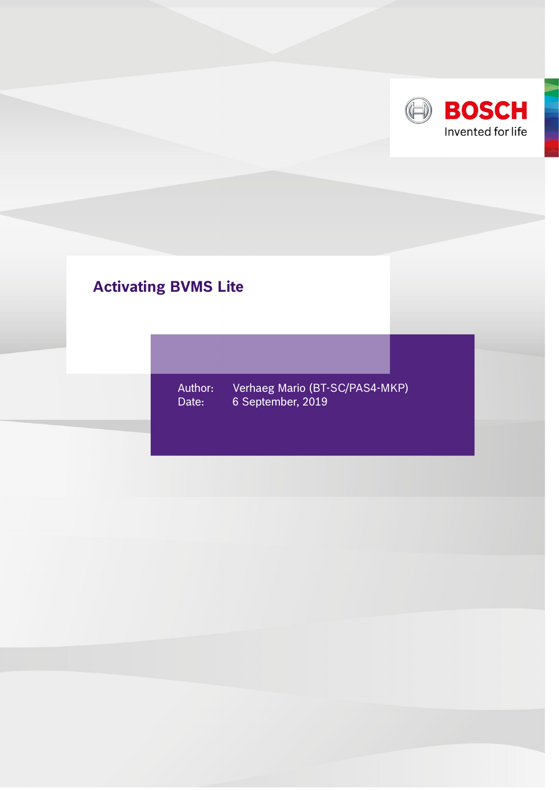

## **Activating BVMS Lite**

Author: Verhaeg Mario (BT-SC/PAS4-MKP) Date: 6 September, 2019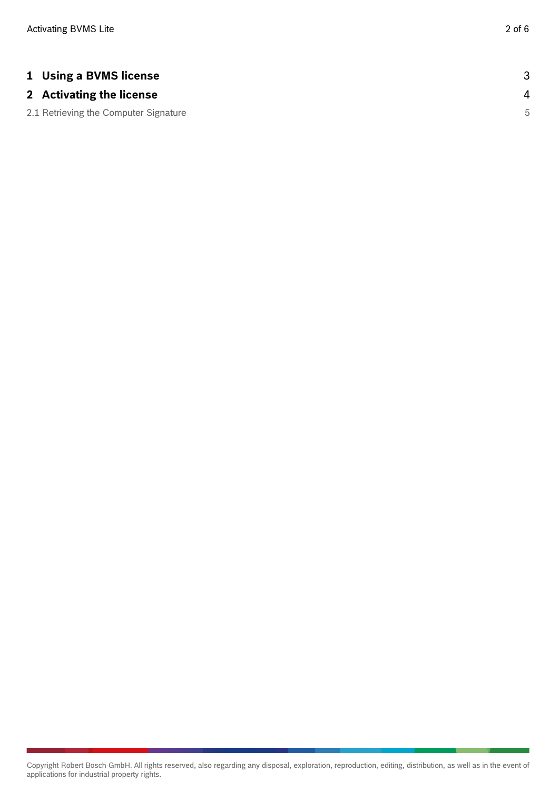| <b>1 Using a BVMS license</b>         |   |
|---------------------------------------|---|
| 2 Activating the license              | 4 |
| 2.1 Retrieving the Computer Signature | 5 |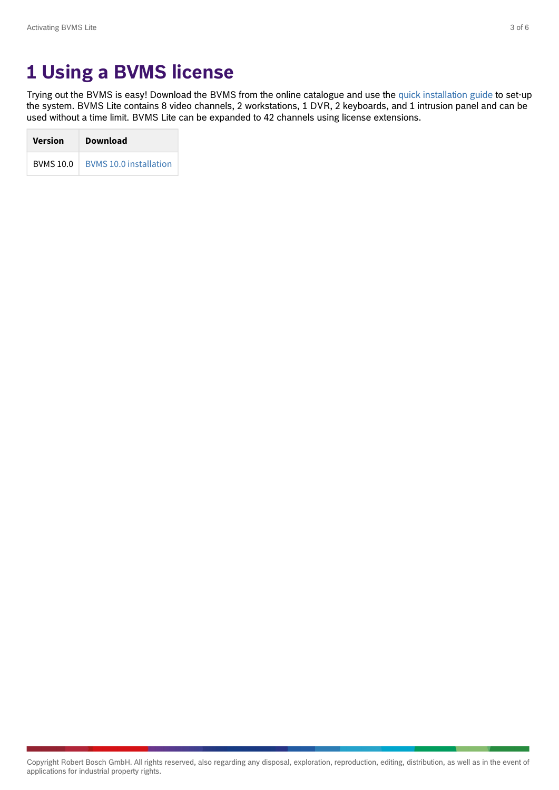## <span id="page-2-0"></span>**1 Using a BVMS license**

Trying out the BVMS is easy! Download the BVMS from the online catalogue and use the [quick installation guide](http://resource.boschsecurity.com/documents/BVMS_9.0_Quick_Installation_Guide_all_63356957835.pdf) to set-up the system. BVMS Lite contains 8 video channels, 2 workstations, 1 DVR, 2 keyboards, and 1 intrusion panel and can be used without a time limit. BVMS Lite can be expanded to 42 channels using license extensions.

| <b>Version</b>   | <b>Download</b>               |
|------------------|-------------------------------|
| <b>BVMS 10.0</b> | <b>BVMS 10.0 installation</b> |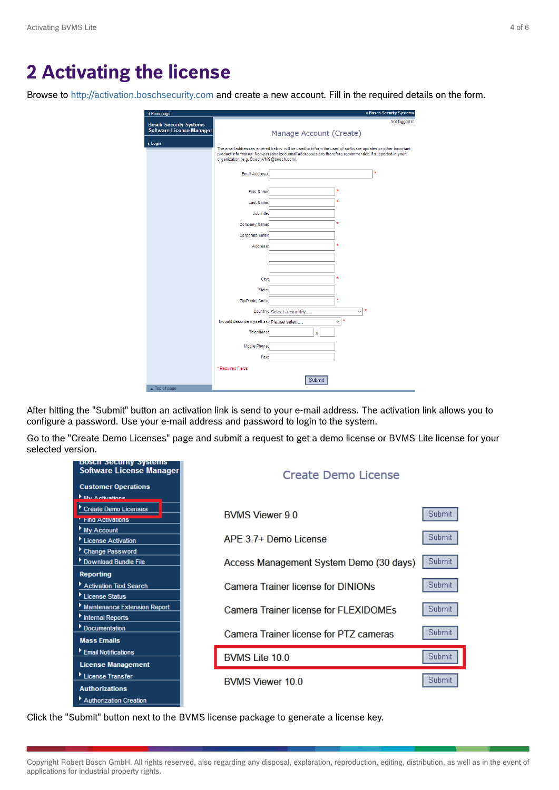## <span id="page-3-0"></span>**2 Activating the license**

Browse to<http://activation.boschsecurity.com>and create a new account. Fill in the required details on the form.

| organization (e.g. BoschVMS@bosch.com).<br>Email Address: | Manage Account (Create)<br>The email addresses entered below will be used to inform the user of software updates or other important<br>product information. Non-personalized email addresses are therefore recommended if supported in your |                                                                        |   |
|-----------------------------------------------------------|---------------------------------------------------------------------------------------------------------------------------------------------------------------------------------------------------------------------------------------------|------------------------------------------------------------------------|---|
|                                                           |                                                                                                                                                                                                                                             |                                                                        |   |
|                                                           |                                                                                                                                                                                                                                             |                                                                        |   |
|                                                           |                                                                                                                                                                                                                                             |                                                                        |   |
|                                                           |                                                                                                                                                                                                                                             |                                                                        | × |
| <b>First Name:</b>                                        |                                                                                                                                                                                                                                             | ×                                                                      |   |
| Last Name:                                                |                                                                                                                                                                                                                                             | ×                                                                      |   |
| <b>Job Title:</b>                                         |                                                                                                                                                                                                                                             |                                                                        |   |
| Company Name:                                             |                                                                                                                                                                                                                                             | $\star$                                                                |   |
| Corporate Email:                                          |                                                                                                                                                                                                                                             |                                                                        |   |
| Address:                                                  |                                                                                                                                                                                                                                             | ×                                                                      |   |
|                                                           |                                                                                                                                                                                                                                             |                                                                        |   |
| City                                                      |                                                                                                                                                                                                                                             | ×                                                                      |   |
| State:                                                    |                                                                                                                                                                                                                                             |                                                                        |   |
| Zip/Postal Code:                                          |                                                                                                                                                                                                                                             | ×                                                                      |   |
|                                                           |                                                                                                                                                                                                                                             | $\pmb{\ast}$<br>$\checkmark$                                           |   |
|                                                           |                                                                                                                                                                                                                                             | $\checkmark$                                                           |   |
| Telephone:                                                | x                                                                                                                                                                                                                                           |                                                                        |   |
| Mobile Phone                                              |                                                                                                                                                                                                                                             |                                                                        |   |
| Fax:                                                      |                                                                                                                                                                                                                                             |                                                                        |   |
|                                                           |                                                                                                                                                                                                                                             |                                                                        |   |
| * Required Fields                                         |                                                                                                                                                                                                                                             |                                                                        |   |
|                                                           |                                                                                                                                                                                                                                             | Country: Select a country<br>I would describe myself as: Please select | × |

After hitting the "Submit" button an activation link is send to your e-mail address. The activation link allows you to configure a password. Use your e-mail address and password to login to the system.

Go to the "Create Demo Licenses" page and submit a request to get a demo license or BVMS Lite license for your selected version.

| <b>DOSCH SECUTILY SYSTEMS</b><br>Software License Manager<br><b>Customer Operations</b><br><b>Ellis Activations</b> | Create Demo License                     |        |
|---------------------------------------------------------------------------------------------------------------------|-----------------------------------------|--------|
| Create Demo Licenses<br><b>TING ACTIVATIONS</b>                                                                     | BVMS Viewer 9.0                         | Submit |
| My Account<br>License Activation                                                                                    | APE 3.7+ Demo License                   | Submit |
| Change Password<br>Download Bundle File                                                                             | Access Management System Demo (30 days) | Submit |
| <b>Reporting</b><br>Activation Text Search<br>License Status                                                        | Camera Trainer license for DINIONs      | Submit |
| <b>Maintenance Extension Report</b><br><b>Internal Reports</b>                                                      | Camera Trainer license for FLEXIDOMEs   | Submit |
| Documentation<br><b>Mass Emails</b>                                                                                 | Camera Trainer license for PTZ cameras  | Submit |
| Email Notifications                                                                                                 | BVMS Lite 10.0                          | Submit |
| <b>License Management</b><br>License Transfer                                                                       | <b>BVMS Viewer 10.0</b>                 | Submit |
| <b>Authorizations</b><br>Authorization Creation                                                                     |                                         |        |

Click the "Submit" button next to the BVMS license package to generate a license key.

Copyright Robert Bosch GmbH. All rights reserved, also regarding any disposal, exploration, reproduction, editing, distribution, as well as in the event of applications for industrial property rights.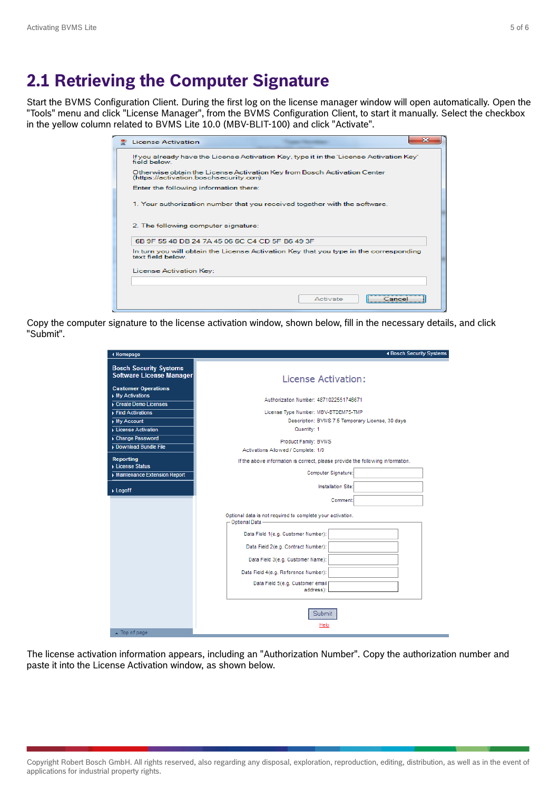## <span id="page-4-0"></span>**2.1 Retrieving the Computer Signature**

Start the BVMS Configuration Client. During the first log on the license manager window will open automatically. Open the "Tools" menu and click "License Manager", from the BVMS Configuration Client, to start it manually. Select the checkbox in the yellow column related to BVMS Lite 10.0 (MBV-BLIT-100) and click "Activate".

| License Activation                                                                                                  |
|---------------------------------------------------------------------------------------------------------------------|
| If you already have the License Activation Key, type it in the 'License Activation Key'<br>field below              |
| Otherwise obtain the License Activation Key from Bosch Activation Center<br>(https://activation.boschsecurity.com). |
| Enter the following information there:                                                                              |
| 1. Your authorization number that you received together with the software.                                          |
| 2. The following computer signature:                                                                                |
| 6B 9E 55 40 DB 24 7A 45 06 6C C4 CD 5E B6 49 3E                                                                     |
| In turn you will obtain the License Activation Key that you type in the corresponding<br>text field below           |
| License Activation Key:                                                                                             |
|                                                                                                                     |
| Activate<br>Jancel                                                                                                  |

Copy the computer signature to the license activation window, shown below, fill in the necessary details, and click "Submit".

| ◀ Homepage                                                                                     | 4 Bosch Security Systems                                                        |
|------------------------------------------------------------------------------------------------|---------------------------------------------------------------------------------|
| <b>Bosch Security Systems</b><br><b>Software License Manager</b><br><b>Customer Operations</b> | License Activation:                                                             |
| My Activations<br>Create Demo Licenses                                                         | Authorization Number: 4871022551746671                                          |
| $\overline{\phantom{a}}$ Find Activations                                                      | License Type Number: MBV-BTDEM75-TMP                                            |
| $My$ Account                                                                                   | Description: BVMS 7.5 Temporary License, 30 days                                |
| License Activation                                                                             | Quantity: 1                                                                     |
| Change Password<br>Download Bundle File                                                        | Product Family: BVMS<br>Activations Allowed / Complete: 1/0                     |
| <b>Reporting</b><br>License Status                                                             | If the above information is correct, please provide the following information.  |
| Maintenance Extension Report                                                                   | Computer Signature:                                                             |
| $\blacktriangleright$ Logoff                                                                   | Installation Site:                                                              |
|                                                                                                | Comment:                                                                        |
|                                                                                                | Optional data is not required to complete your activation.<br>- Optional Data - |
|                                                                                                | Data Field 1(e.g. Customer Number):                                             |
|                                                                                                | Data Field 2(e.g. Contract Number):                                             |
|                                                                                                | Data Field 3(e.g. Customer Name):                                               |
|                                                                                                | Data Field 4(e.g. Reference Number):                                            |
|                                                                                                | Data Field 5(e.g. Customer email                                                |
|                                                                                                | address):                                                                       |
| $\triangle$ Top of page                                                                        | Submit<br>Help                                                                  |

The license activation information appears, including an "Authorization Number". Copy the authorization number and paste it into the License Activation window, as shown below.

Copyright Robert Bosch GmbH. All rights reserved, also regarding any disposal, exploration, reproduction, editing, distribution, as well as in the event of applications for industrial property rights.